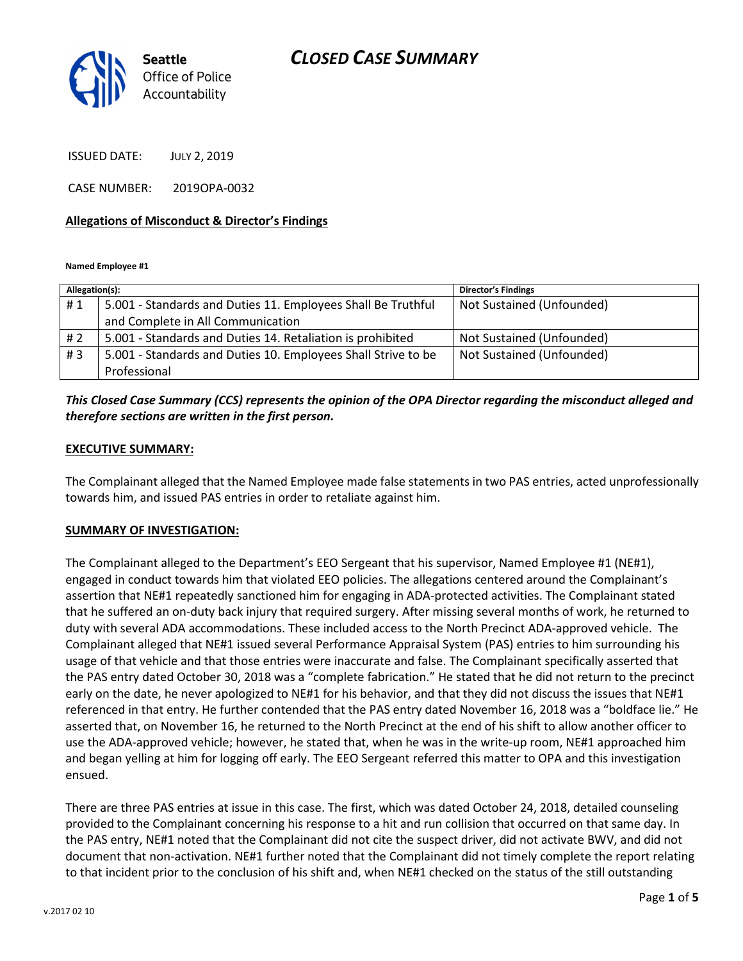# CLOSED CASE SUMMARY



ISSUED DATE: JULY 2, 2019

CASE NUMBER: 2019OPA-0032

#### Allegations of Misconduct & Director's Findings

Named Employee #1

| Allegation(s): |                                                               | <b>Director's Findings</b> |
|----------------|---------------------------------------------------------------|----------------------------|
| #1             | 5.001 - Standards and Duties 11. Employees Shall Be Truthful  | Not Sustained (Unfounded)  |
|                | and Complete in All Communication                             |                            |
| # 2            | 5.001 - Standards and Duties 14. Retaliation is prohibited    | Not Sustained (Unfounded)  |
| #3             | 5.001 - Standards and Duties 10. Employees Shall Strive to be | Not Sustained (Unfounded)  |
|                | Professional                                                  |                            |

### This Closed Case Summary (CCS) represents the opinion of the OPA Director regarding the misconduct alleged and therefore sections are written in the first person.

#### EXECUTIVE SUMMARY:

The Complainant alleged that the Named Employee made false statements in two PAS entries, acted unprofessionally towards him, and issued PAS entries in order to retaliate against him.

#### SUMMARY OF INVESTIGATION:

The Complainant alleged to the Department's EEO Sergeant that his supervisor, Named Employee #1 (NE#1), engaged in conduct towards him that violated EEO policies. The allegations centered around the Complainant's assertion that NE#1 repeatedly sanctioned him for engaging in ADA-protected activities. The Complainant stated that he suffered an on-duty back injury that required surgery. After missing several months of work, he returned to duty with several ADA accommodations. These included access to the North Precinct ADA-approved vehicle. The Complainant alleged that NE#1 issued several Performance Appraisal System (PAS) entries to him surrounding his usage of that vehicle and that those entries were inaccurate and false. The Complainant specifically asserted that the PAS entry dated October 30, 2018 was a "complete fabrication." He stated that he did not return to the precinct early on the date, he never apologized to NE#1 for his behavior, and that they did not discuss the issues that NE#1 referenced in that entry. He further contended that the PAS entry dated November 16, 2018 was a "boldface lie." He asserted that, on November 16, he returned to the North Precinct at the end of his shift to allow another officer to use the ADA-approved vehicle; however, he stated that, when he was in the write-up room, NE#1 approached him and began yelling at him for logging off early. The EEO Sergeant referred this matter to OPA and this investigation ensued.

There are three PAS entries at issue in this case. The first, which was dated October 24, 2018, detailed counseling provided to the Complainant concerning his response to a hit and run collision that occurred on that same day. In the PAS entry, NE#1 noted that the Complainant did not cite the suspect driver, did not activate BWV, and did not document that non-activation. NE#1 further noted that the Complainant did not timely complete the report relating to that incident prior to the conclusion of his shift and, when NE#1 checked on the status of the still outstanding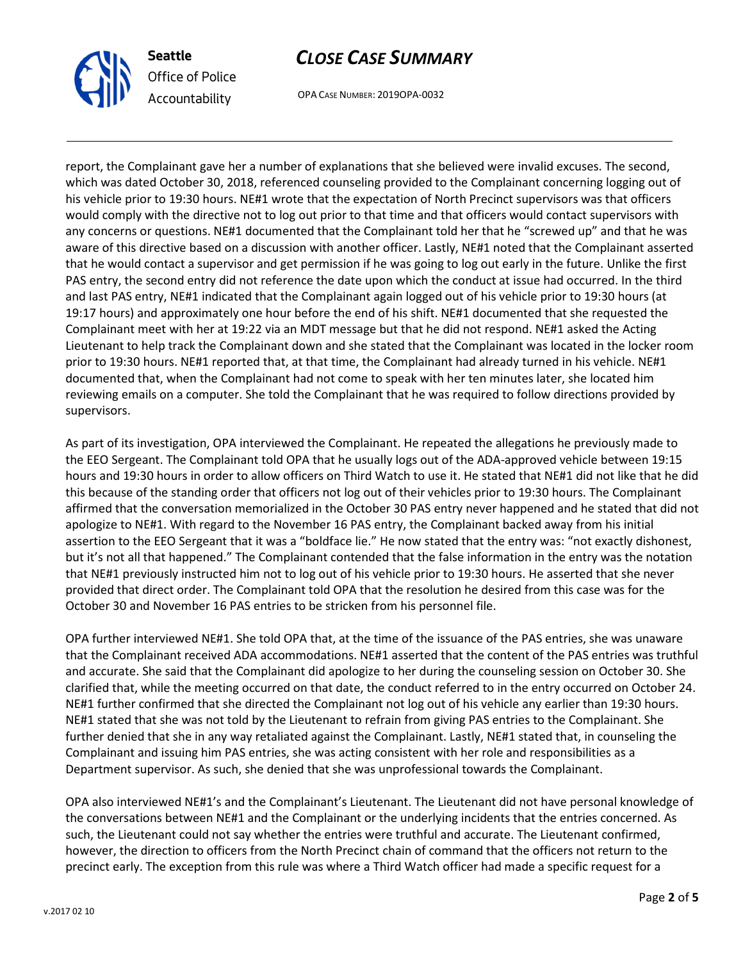

### Seattle Office of Police Accountability

# CLOSE CASE SUMMARY

OPA CASE NUMBER: 2019OPA-0032

report, the Complainant gave her a number of explanations that she believed were invalid excuses. The second, which was dated October 30, 2018, referenced counseling provided to the Complainant concerning logging out of his vehicle prior to 19:30 hours. NE#1 wrote that the expectation of North Precinct supervisors was that officers would comply with the directive not to log out prior to that time and that officers would contact supervisors with any concerns or questions. NE#1 documented that the Complainant told her that he "screwed up" and that he was aware of this directive based on a discussion with another officer. Lastly, NE#1 noted that the Complainant asserted that he would contact a supervisor and get permission if he was going to log out early in the future. Unlike the first PAS entry, the second entry did not reference the date upon which the conduct at issue had occurred. In the third and last PAS entry, NE#1 indicated that the Complainant again logged out of his vehicle prior to 19:30 hours (at 19:17 hours) and approximately one hour before the end of his shift. NE#1 documented that she requested the Complainant meet with her at 19:22 via an MDT message but that he did not respond. NE#1 asked the Acting Lieutenant to help track the Complainant down and she stated that the Complainant was located in the locker room prior to 19:30 hours. NE#1 reported that, at that time, the Complainant had already turned in his vehicle. NE#1 documented that, when the Complainant had not come to speak with her ten minutes later, she located him reviewing emails on a computer. She told the Complainant that he was required to follow directions provided by supervisors.

As part of its investigation, OPA interviewed the Complainant. He repeated the allegations he previously made to the EEO Sergeant. The Complainant told OPA that he usually logs out of the ADA-approved vehicle between 19:15 hours and 19:30 hours in order to allow officers on Third Watch to use it. He stated that NE#1 did not like that he did this because of the standing order that officers not log out of their vehicles prior to 19:30 hours. The Complainant affirmed that the conversation memorialized in the October 30 PAS entry never happened and he stated that did not apologize to NE#1. With regard to the November 16 PAS entry, the Complainant backed away from his initial assertion to the EEO Sergeant that it was a "boldface lie." He now stated that the entry was: "not exactly dishonest, but it's not all that happened." The Complainant contended that the false information in the entry was the notation that NE#1 previously instructed him not to log out of his vehicle prior to 19:30 hours. He asserted that she never provided that direct order. The Complainant told OPA that the resolution he desired from this case was for the October 30 and November 16 PAS entries to be stricken from his personnel file.

OPA further interviewed NE#1. She told OPA that, at the time of the issuance of the PAS entries, she was unaware that the Complainant received ADA accommodations. NE#1 asserted that the content of the PAS entries was truthful and accurate. She said that the Complainant did apologize to her during the counseling session on October 30. She clarified that, while the meeting occurred on that date, the conduct referred to in the entry occurred on October 24. NE#1 further confirmed that she directed the Complainant not log out of his vehicle any earlier than 19:30 hours. NE#1 stated that she was not told by the Lieutenant to refrain from giving PAS entries to the Complainant. She further denied that she in any way retaliated against the Complainant. Lastly, NE#1 stated that, in counseling the Complainant and issuing him PAS entries, she was acting consistent with her role and responsibilities as a Department supervisor. As such, she denied that she was unprofessional towards the Complainant.

OPA also interviewed NE#1's and the Complainant's Lieutenant. The Lieutenant did not have personal knowledge of the conversations between NE#1 and the Complainant or the underlying incidents that the entries concerned. As such, the Lieutenant could not say whether the entries were truthful and accurate. The Lieutenant confirmed, however, the direction to officers from the North Precinct chain of command that the officers not return to the precinct early. The exception from this rule was where a Third Watch officer had made a specific request for a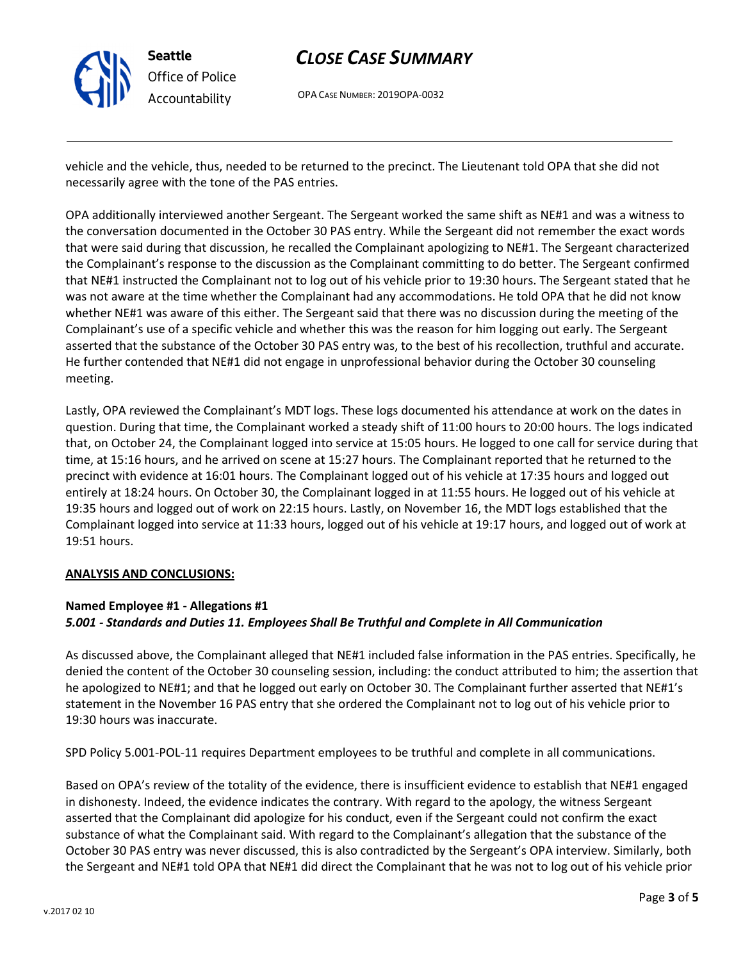

# CLOSE CASE SUMMARY

OPA CASE NUMBER: 2019OPA-0032

vehicle and the vehicle, thus, needed to be returned to the precinct. The Lieutenant told OPA that she did not necessarily agree with the tone of the PAS entries.

OPA additionally interviewed another Sergeant. The Sergeant worked the same shift as NE#1 and was a witness to the conversation documented in the October 30 PAS entry. While the Sergeant did not remember the exact words that were said during that discussion, he recalled the Complainant apologizing to NE#1. The Sergeant characterized the Complainant's response to the discussion as the Complainant committing to do better. The Sergeant confirmed that NE#1 instructed the Complainant not to log out of his vehicle prior to 19:30 hours. The Sergeant stated that he was not aware at the time whether the Complainant had any accommodations. He told OPA that he did not know whether NE#1 was aware of this either. The Sergeant said that there was no discussion during the meeting of the Complainant's use of a specific vehicle and whether this was the reason for him logging out early. The Sergeant asserted that the substance of the October 30 PAS entry was, to the best of his recollection, truthful and accurate. He further contended that NE#1 did not engage in unprofessional behavior during the October 30 counseling meeting.

Lastly, OPA reviewed the Complainant's MDT logs. These logs documented his attendance at work on the dates in question. During that time, the Complainant worked a steady shift of 11:00 hours to 20:00 hours. The logs indicated that, on October 24, the Complainant logged into service at 15:05 hours. He logged to one call for service during that time, at 15:16 hours, and he arrived on scene at 15:27 hours. The Complainant reported that he returned to the precinct with evidence at 16:01 hours. The Complainant logged out of his vehicle at 17:35 hours and logged out entirely at 18:24 hours. On October 30, the Complainant logged in at 11:55 hours. He logged out of his vehicle at 19:35 hours and logged out of work on 22:15 hours. Lastly, on November 16, the MDT logs established that the Complainant logged into service at 11:33 hours, logged out of his vehicle at 19:17 hours, and logged out of work at 19:51 hours.

#### ANALYSIS AND CONCLUSIONS:

#### Named Employee #1 - Allegations #1 5.001 - Standards and Duties 11. Employees Shall Be Truthful and Complete in All Communication

As discussed above, the Complainant alleged that NE#1 included false information in the PAS entries. Specifically, he denied the content of the October 30 counseling session, including: the conduct attributed to him; the assertion that he apologized to NE#1; and that he logged out early on October 30. The Complainant further asserted that NE#1's statement in the November 16 PAS entry that she ordered the Complainant not to log out of his vehicle prior to 19:30 hours was inaccurate.

SPD Policy 5.001-POL-11 requires Department employees to be truthful and complete in all communications.

Based on OPA's review of the totality of the evidence, there is insufficient evidence to establish that NE#1 engaged in dishonesty. Indeed, the evidence indicates the contrary. With regard to the apology, the witness Sergeant asserted that the Complainant did apologize for his conduct, even if the Sergeant could not confirm the exact substance of what the Complainant said. With regard to the Complainant's allegation that the substance of the October 30 PAS entry was never discussed, this is also contradicted by the Sergeant's OPA interview. Similarly, both the Sergeant and NE#1 told OPA that NE#1 did direct the Complainant that he was not to log out of his vehicle prior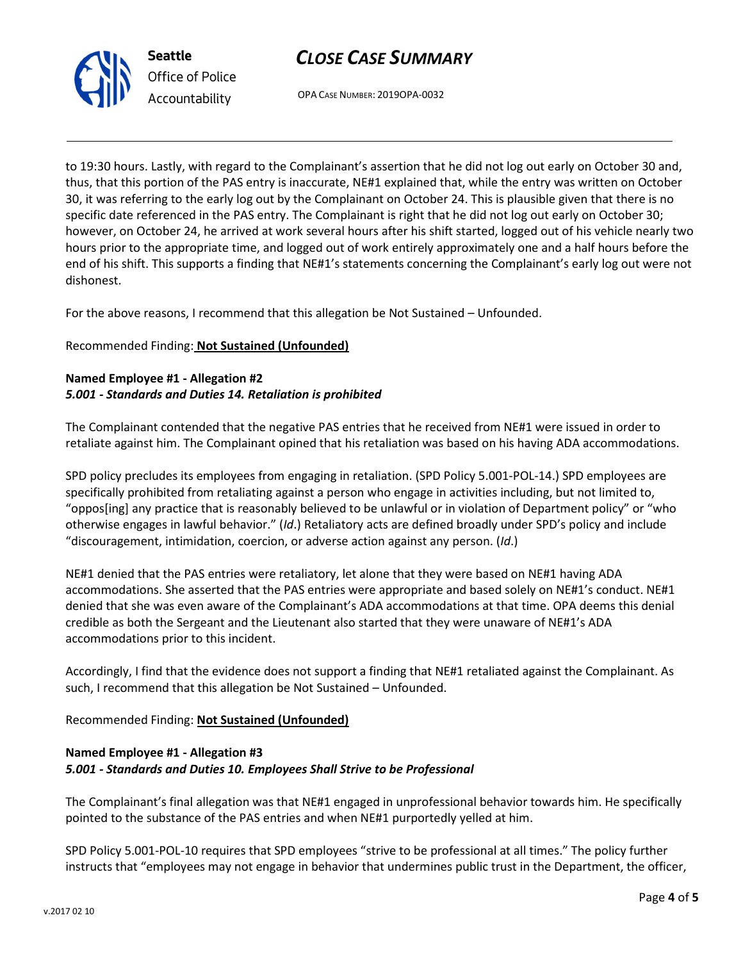# CLOSE CASE SUMMARY



OPA CASE NUMBER: 2019OPA-0032

to 19:30 hours. Lastly, with regard to the Complainant's assertion that he did not log out early on October 30 and, thus, that this portion of the PAS entry is inaccurate, NE#1 explained that, while the entry was written on October 30, it was referring to the early log out by the Complainant on October 24. This is plausible given that there is no specific date referenced in the PAS entry. The Complainant is right that he did not log out early on October 30; however, on October 24, he arrived at work several hours after his shift started, logged out of his vehicle nearly two hours prior to the appropriate time, and logged out of work entirely approximately one and a half hours before the end of his shift. This supports a finding that NE#1's statements concerning the Complainant's early log out were not dishonest.

For the above reasons, I recommend that this allegation be Not Sustained – Unfounded.

### Recommended Finding: Not Sustained (Unfounded)

### Named Employee #1 - Allegation #2 5.001 - Standards and Duties 14. Retaliation is prohibited

The Complainant contended that the negative PAS entries that he received from NE#1 were issued in order to retaliate against him. The Complainant opined that his retaliation was based on his having ADA accommodations.

SPD policy precludes its employees from engaging in retaliation. (SPD Policy 5.001-POL-14.) SPD employees are specifically prohibited from retaliating against a person who engage in activities including, but not limited to, "oppos[ing] any practice that is reasonably believed to be unlawful or in violation of Department policy" or "who otherwise engages in lawful behavior." (Id.) Retaliatory acts are defined broadly under SPD's policy and include "discouragement, intimidation, coercion, or adverse action against any person. (Id.)

NE#1 denied that the PAS entries were retaliatory, let alone that they were based on NE#1 having ADA accommodations. She asserted that the PAS entries were appropriate and based solely on NE#1's conduct. NE#1 denied that she was even aware of the Complainant's ADA accommodations at that time. OPA deems this denial credible as both the Sergeant and the Lieutenant also started that they were unaware of NE#1's ADA accommodations prior to this incident.

Accordingly, I find that the evidence does not support a finding that NE#1 retaliated against the Complainant. As such, I recommend that this allegation be Not Sustained – Unfounded.

Recommended Finding: Not Sustained (Unfounded)

### Named Employee #1 - Allegation #3 5.001 - Standards and Duties 10. Employees Shall Strive to be Professional

The Complainant's final allegation was that NE#1 engaged in unprofessional behavior towards him. He specifically pointed to the substance of the PAS entries and when NE#1 purportedly yelled at him.

SPD Policy 5.001-POL-10 requires that SPD employees "strive to be professional at all times." The policy further instructs that "employees may not engage in behavior that undermines public trust in the Department, the officer,